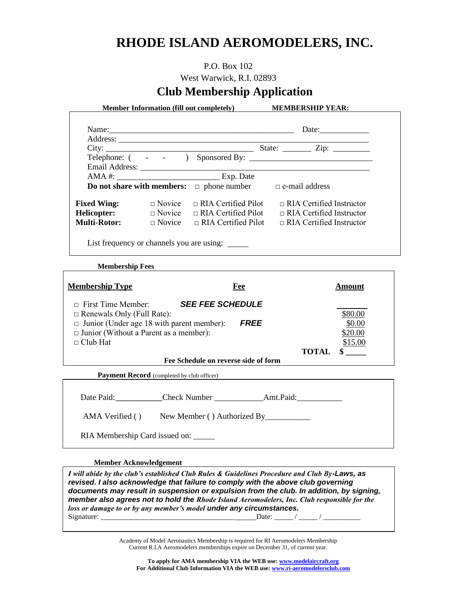# **RHODE ISLAND AEROMODELERS, INC.**

### P.O. Box 102

West Warwick, R.I. 02893

# **Club Membership Application**

**Member Information (fill out completely) MEMBERSHIP YEAR:**

| Name: 2008. [2016] Name: 2016. [2016] Name: 2016. [2016] 2016. [2016] 2016. [2016] 2016. [2016] 2016. [2016] 2016. [2016] 2016. [2016] 2016. [2016] 2016. [2016] 2016. [2016] 2016. [2016] 2016. [2016] 2016. [2016] 2016. [20 |               |                                          | Date: $\qquad \qquad \qquad$                 |  |  |
|--------------------------------------------------------------------------------------------------------------------------------------------------------------------------------------------------------------------------------|---------------|------------------------------------------|----------------------------------------------|--|--|
|                                                                                                                                                                                                                                |               |                                          |                                              |  |  |
|                                                                                                                                                                                                                                |               | City:                                    | State: $\frac{\text{Zip: } }{ \text{Up: } }$ |  |  |
|                                                                                                                                                                                                                                |               |                                          |                                              |  |  |
|                                                                                                                                                                                                                                |               |                                          |                                              |  |  |
|                                                                                                                                                                                                                                |               |                                          |                                              |  |  |
| <b>Do not share with members:</b> $\Box$ phone number $\Box$ e-mail address                                                                                                                                                    |               |                                          |                                              |  |  |
| <b>Fixed Wing:</b>                                                                                                                                                                                                             | $\Box$ Novice | $\Box$ RIA Certified Pilot               | $\Box$ RIA Certified Instructor              |  |  |
| Helicopter:                                                                                                                                                                                                                    |               | $\Box$ Novice $\Box$ RIA Certified Pilot | $\Box$ RIA Certified Instructor              |  |  |
| <b>Multi-Rotor:</b>                                                                                                                                                                                                            |               | $\Box$ Novice $\Box$ RIA Certified Pilot | $\Box$ RIA Certified Instructor              |  |  |
|                                                                                                                                                                                                                                |               |                                          |                                              |  |  |

List frequency or channels you are using: \_\_\_\_\_\_

**Membership Fees**

| <b>Membership Type</b>                                                                                               |                         | Fee  |              | Amount                       |
|----------------------------------------------------------------------------------------------------------------------|-------------------------|------|--------------|------------------------------|
| $\Box$ First Time Member:<br>$\Box$ Renewals Only (Full Rate):                                                       | <b>SEE FEE SCHEDULE</b> |      |              | \$80.00                      |
| $\Box$ Junior (Under age 18 with parent member):<br>$\Box$ Junior (Without a Parent as a member):<br>$\Box$ Club Hat |                         | FREE |              | \$0.00<br>\$20.00<br>\$15.00 |
|                                                                                                                      |                         |      | <b>TOTAL</b> |                              |

**Fee Schedule on reverse side of form**

**Payment Record** (completed by club officer)

Date Paid: \_\_\_\_\_\_\_\_\_\_\_\_Check Number \_\_\_\_\_\_\_\_\_\_\_\_\_\_\_\_\_Amt.Paid:

AMA Verified ( ) New Member ( ) Authorized By\_\_\_\_\_\_\_\_\_\_\_\_\_\_\_\_\_\_\_\_\_\_\_\_\_\_\_\_\_\_\_\_\_\_\_

RIA Membership Card issued on:

#### **Member Acknowledgement**

*I will abide by the club's established Club Rules & Guidelines Procedure and Club By-Laws, as revised. I also acknowledge that failure to comply with the above club governing documents may result in suspension or expulsion from the club. In addition, by signing, member also agrees not to hold the Rhode Island Aeromodelers, Inc. Club responsible for the loss or damage to or by any member's model under any circumstances.* Signature: \_\_\_\_\_\_\_\_\_\_\_\_\_\_\_\_\_\_\_\_\_\_\_\_\_\_\_\_\_\_\_\_\_\_\_\_ Date: \_\_\_\_\_ / \_\_\_\_\_ / \_\_\_\_\_\_\_\_\_\_

> Academy of Model Aeronautics Membership is required for RI Aeromodelers Membership Current R.I.A Aeromodelers memberships expire on December 31, of current year.